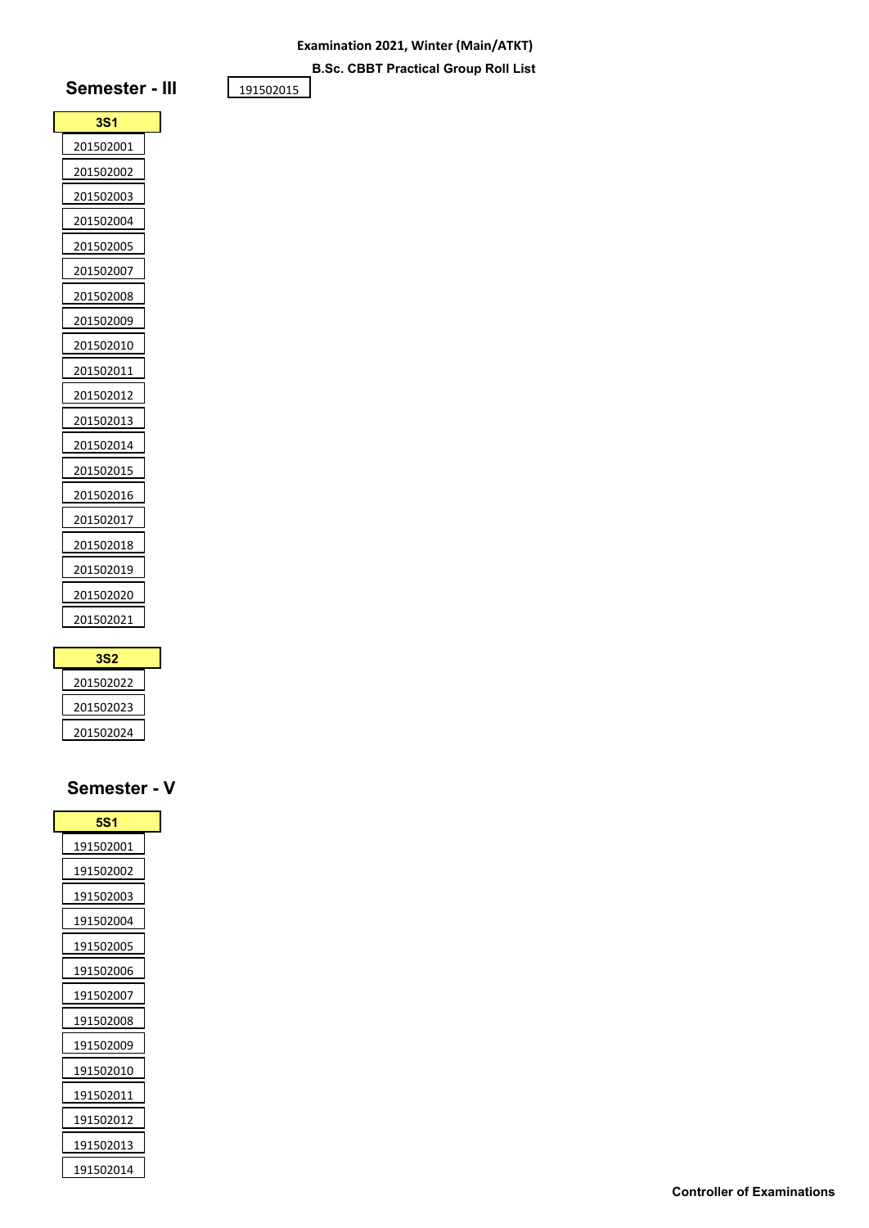**B.Sc. CBBT Practical Group Roll List**

# **Semester - III**

| 3S1       |  |
|-----------|--|
| 201502001 |  |
| 201502002 |  |
| 201502003 |  |
| 201502004 |  |
| 201502005 |  |
| 201502007 |  |
| 201502008 |  |
| 201502009 |  |
| 201502010 |  |
| 201502011 |  |
| 201502012 |  |
| 201502013 |  |
| 201502014 |  |
| 201502015 |  |
| 201502016 |  |
| 201502017 |  |
| 201502018 |  |
| 201502019 |  |
| 201502020 |  |
| 201502021 |  |

| 3S2       |  |
|-----------|--|
| 201502022 |  |
| 201502023 |  |
| 201502024 |  |

| <b>5S1</b>        |
|-------------------|
| 191502001         |
| 191502002         |
| 191502003         |
| 191502004         |
| <u> 191502005</u> |
| 191502006         |
| 191502007         |
| 191502008         |
| 191502009         |
| 191502010         |
| 191502011         |
| 191502012         |
| 191502013         |
| 191502014         |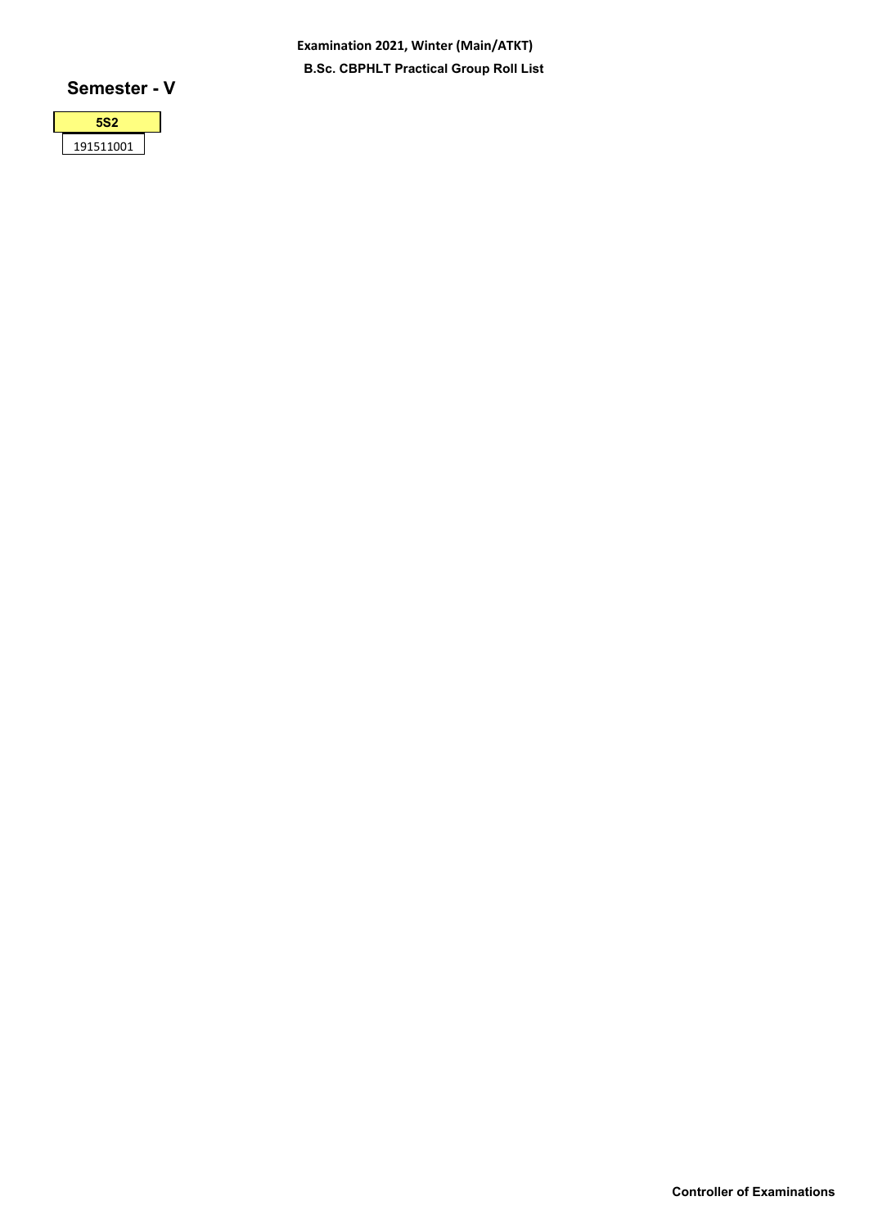**Examination 2021, Winter (Main/ATKT) B.Sc. CBPHLT Practical Group Roll List**

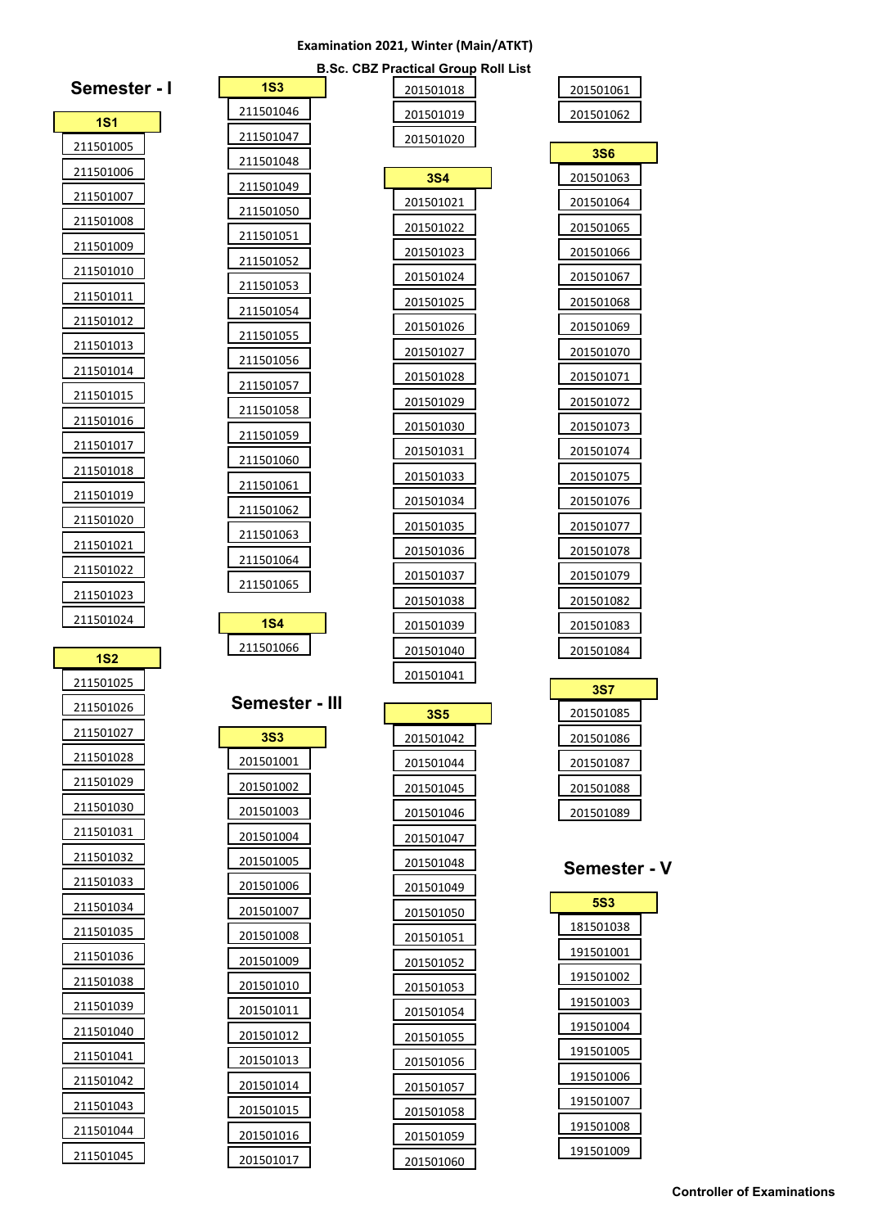|                        |                 | <b>B.Sc. CBZ Practical Group Roll List</b> |              |
|------------------------|-----------------|--------------------------------------------|--------------|
| Semester - I           | 1S <sub>3</sub> | 201501018                                  | 201501061    |
| <b>1S1</b>             | 211501046       | 201501019                                  | 201501062    |
| 211501005              | 211501047       | 201501020                                  | <b>3S6</b>   |
| 211501006              | 211501048       | <b>3S4</b>                                 | 201501063    |
| 211501007              | 211501049       | 201501021                                  | 201501064    |
| 211501008              | 211501050       | 201501022                                  | 201501065    |
| 211501009              | 211501051       | 201501023                                  | 201501066    |
| 211501010              | 211501052       | 201501024                                  | 201501067    |
| 211501011              | 211501053       | 201501025                                  | 201501068    |
| 211501012              | 211501054       | 201501026                                  | 201501069    |
| 211501013              | 211501055       | 201501027                                  | 201501070    |
| 211501014              | 211501056       | 201501028                                  | 201501071    |
| 211501015              | 211501057       | 201501029                                  | 201501072    |
| 211501016              | 211501058       | 201501030                                  | 201501073    |
| 211501017              | 211501059       | 201501031                                  | 201501074    |
| 211501018              | 211501060       | 201501033                                  | 201501075    |
| 211501019              | 211501061       | 201501034                                  | 201501076    |
| 211501020              | 211501062       | 201501035                                  | 201501077    |
| 211501021              | 211501063       | 201501036                                  | 201501078    |
| 211501022              | 211501064       | 201501037                                  | 201501079    |
| 211501023              | 211501065       | 201501038                                  | 201501082    |
| 211501024              | <b>1S4</b>      | 201501039                                  | 201501083    |
|                        | 211501066       | 201501040                                  | 201501084    |
| <b>1S2</b>             |                 | 201501041                                  |              |
| 211501025              | Semester - III  |                                            | <b>3S7</b>   |
| 211501026<br>211501027 |                 | <b>3S5</b>                                 | 201501085    |
|                        | <b>3S3</b>      | 201501042                                  | 201501086    |
| 211501028              | 201501001       | 201501044                                  | 201501087    |
| 211501029              | 201501002       | 201501045                                  | 201501088    |
| 211501030              | 201501003       | 201501046                                  | 201501089    |
| 211501031              | 201501004       | 201501047                                  |              |
| 211501032              | 201501005       | 201501048                                  | Semester - V |
| 211501033              | 201501006       | 201501049                                  | <b>5S3</b>   |
| 211501034              | 201501007       | 201501050                                  | 181501038    |
| 211501035              | 201501008       | 201501051                                  | 191501001    |
| 211501036              | 201501009       | 201501052                                  | 191501002    |
| 211501038              | 201501010       | 201501053                                  | 191501003    |
| 211501039              | 201501011       | 201501054                                  | 191501004    |
| 211501040              | 201501012       | 201501055                                  | 191501005    |
| 211501041              | 201501013       | 201501056                                  | 191501006    |
| 211501042              | 201501014       | 201501057                                  | 191501007    |
| 211501043              | 201501015       | 201501058                                  | 191501008    |
| 211501044              | 201501016       | 201501059                                  |              |
| 211501045              |                 |                                            | 191501009    |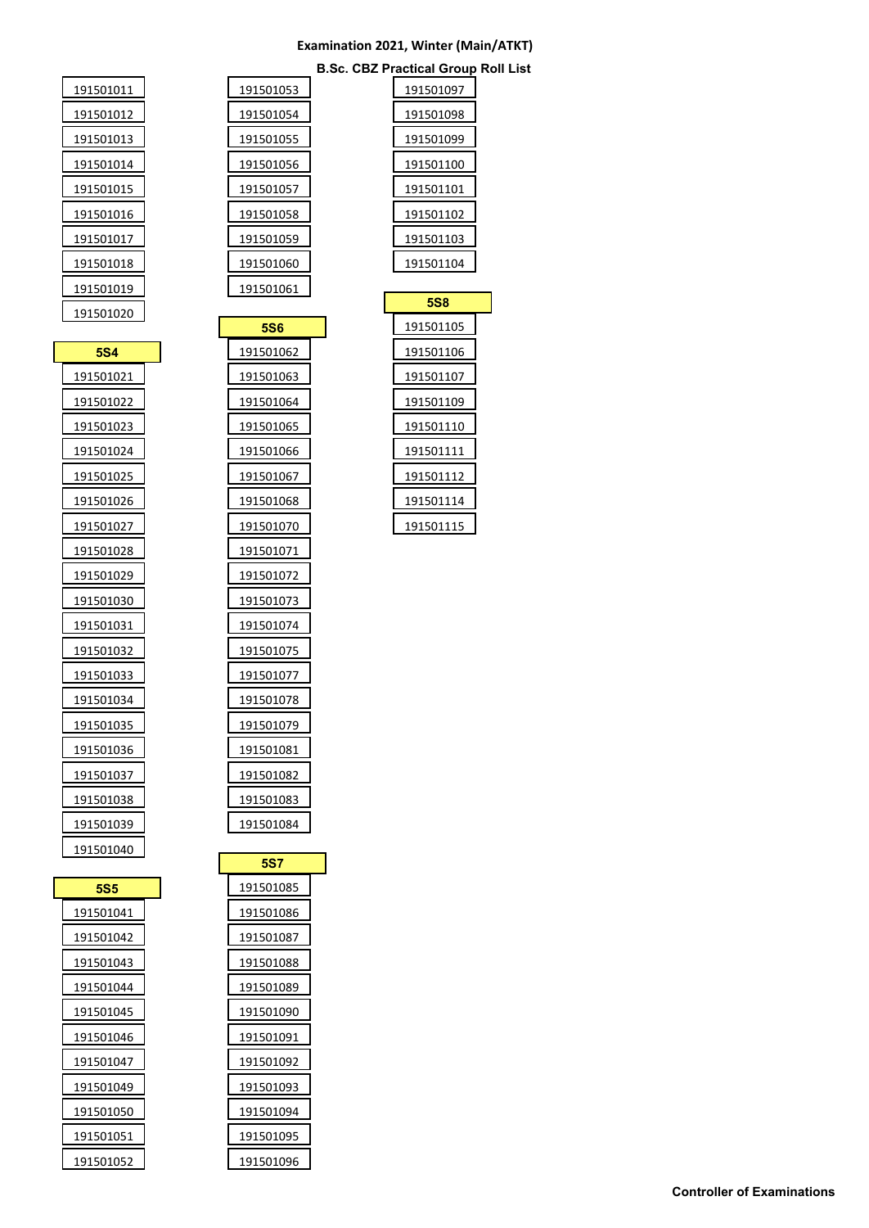#### **Examination 2021, Winter (Main/ATKT) B.Sc. CBZ Practical Group Roll List**

| 191501011 | 191501053 |
|-----------|-----------|
| 191501012 | 191501054 |
| 191501013 | 191501055 |
| 191501014 | 191501056 |
| 191501015 | 191501057 |
| 191501016 | 191501058 |

| <b>5S6</b> |  |
|------------|--|
| 191501062  |  |
| 191501063  |  |
| 191501064  |  |
| 191501065  |  |
| 191501066  |  |
| 191501067  |  |
| 191501068  |  |
| 191501070  |  |
| 191501071  |  |
| 191501072  |  |
| 191501073  |  |
| 191501074  |  |
| 191501075  |  |
| 191501077  |  |
| 191501078  |  |
| 191501079  |  |
| 191501081  |  |
| 191501082  |  |
| 191501083  |  |
| 191501084  |  |

| 191501097  |
|------------|
| 191501098  |
| 191501099  |
| 191501100  |
| 191501101  |
| 191501102  |
| 191501103  |
| 191501104  |
|            |
|            |
| <b>5S8</b> |
| 191501105  |
| 191501106  |
| 191501107  |
| 191501109  |
| 191501110  |
| 191501111  |
| 191501112  |

| 5S5       |  |
|-----------|--|
| 191501041 |  |
| 191501042 |  |
| 191501043 |  |
| 191501044 |  |
| 191501045 |  |
| 191501046 |  |
| 191501047 |  |
| 191501049 |  |
| 191501050 |  |
| 191501051 |  |
| 191501052 |  |

 $\overline{\phantom{a}}$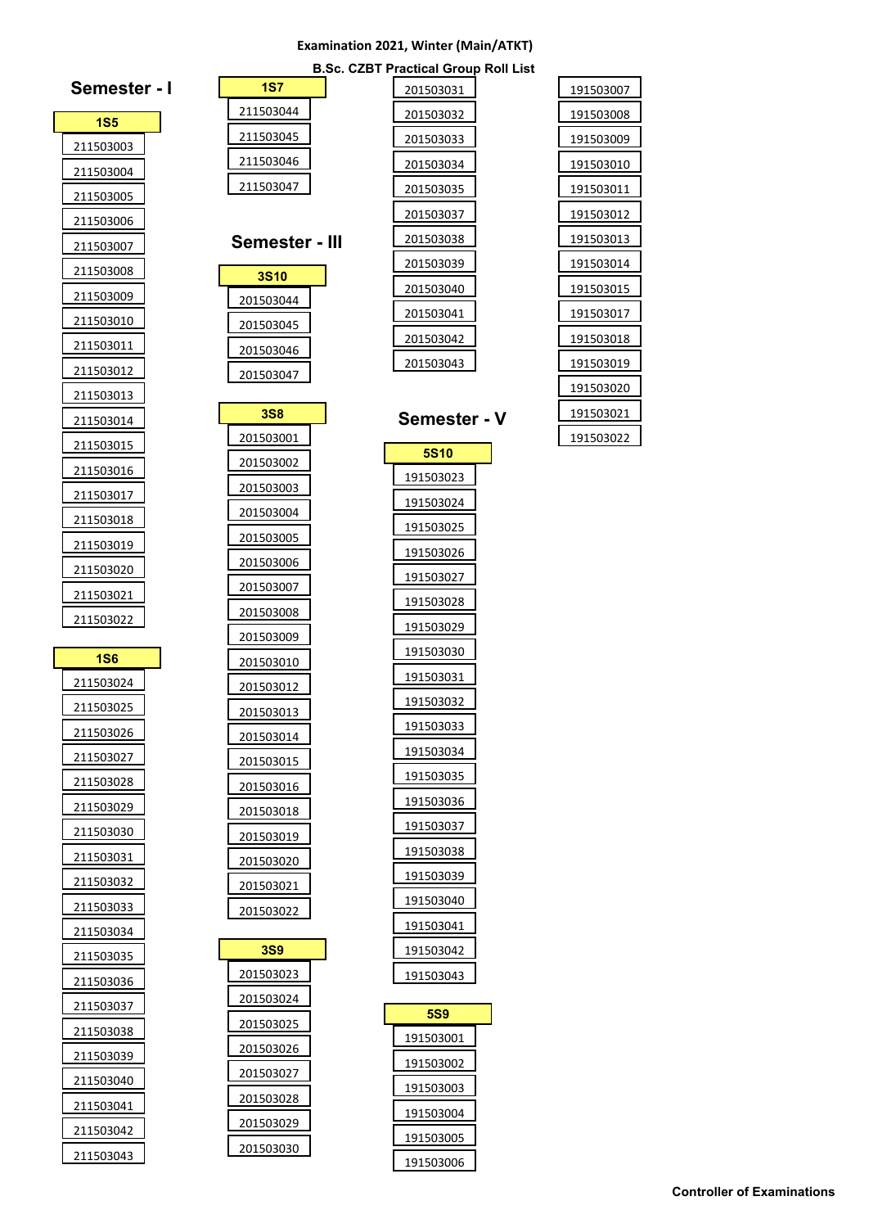| Semester -       |  |
|------------------|--|
| 1S5              |  |
| 211503003        |  |
| 211503004        |  |
| 211503005        |  |
| 211503006        |  |
| 211503007        |  |
| 211503008        |  |
| 211503009        |  |
| 211503010        |  |
| 211503011        |  |
| 211503012        |  |
| 211503013        |  |
| <u>211503014</u> |  |
| 211503015        |  |
| 211503016        |  |
| 211503017        |  |
| 211503018        |  |
| 211503019        |  |
| 211503020        |  |
| 211503021        |  |
| 211503022        |  |
|                  |  |
| 1S6              |  |
| 211503024        |  |
| 211503025        |  |
| 211503026        |  |
| 211503027        |  |
| 211503028        |  |
| 211503029        |  |
| 211503030        |  |
| 211503031        |  |
| 211503032        |  |
| 211503033        |  |
| 211503034        |  |
| 211503035        |  |
| 211503036        |  |
| 211503037        |  |
| 211503038        |  |
| 211503039        |  |
| 211503040        |  |
| 211503041        |  |
| 211503042        |  |
| 211503043        |  |

|                        | <b>B.Sc. CZBT Practical Group Roll</b> |  |
|------------------------|----------------------------------------|--|
| <b>1S7</b>             | 201503031                              |  |
| 211503044              | 201503032                              |  |
| 211503045              | 201503033                              |  |
| 211503046              | 201503034                              |  |
| 211503047              | 201503035                              |  |
|                        | 201503037                              |  |
| Semester - III         | 201503038                              |  |
| 3S10                   | 201503039                              |  |
| 201503044              | 201503040                              |  |
| 201503045              | 201503041                              |  |
| 201503046              | 201503042                              |  |
| 201503047              | 201503043                              |  |
|                        |                                        |  |
| <b>3S8</b>             | <b>Semester</b>                        |  |
| 201503001              | <b>5S10</b>                            |  |
| 201503002              | 191503023                              |  |
| 201503003              | 191503024                              |  |
| 201503004              | 191503025                              |  |
| 201503005              | 191503026                              |  |
| 201503006              | 191503027                              |  |
| 201503007              | 191503028                              |  |
| 201503008              | 191503029                              |  |
| 201503009              | 191503030                              |  |
| 201503010              | 191503031                              |  |
| 201503012              | 191503032                              |  |
| 201503013              | 191503033                              |  |
| 201503014              | 191503034                              |  |
| 201503015              | 191503035                              |  |
| 201503016<br>201503018 | 191503036                              |  |
| 201503019              | 191503037                              |  |
| 201503020              | 191503038                              |  |
| 201503021              | 191503039                              |  |
| 201503022              | 191503040                              |  |
|                        | 191503041                              |  |
| <b>3S9</b>             | 191503042                              |  |
| 201503023              | 191503043                              |  |
| 201503024              | 5S9                                    |  |
| 201503025              | 191503001                              |  |
| 201503026              | 191503002                              |  |
| 201503027              | 191503003                              |  |
| 201503028              | 191503004                              |  |
| 201503029              | 191503005                              |  |
| 201503030              | 191503006                              |  |
|                        |                                        |  |

| ctical Group Roll List |           |
|------------------------|-----------|
| 201503031              | 191503007 |
| 201503032              | 191503008 |
| 201503033              | 191503009 |
| 201503034              | 191503010 |
| 201503035              | 191503011 |
| 201503037              | 191503012 |
| 201503038              | 191503013 |
| 201503039              | 191503014 |
| 201503040              | 191503015 |
| 201503041              | 191503017 |
| 201503042              | 191503018 |
| 201503043              | 191503019 |
|                        | 191503020 |
| ›emester - V           | 191503021 |
|                        | 191503022 |
| <b>5S10</b>            |           |
| 191503023              |           |
|                        |           |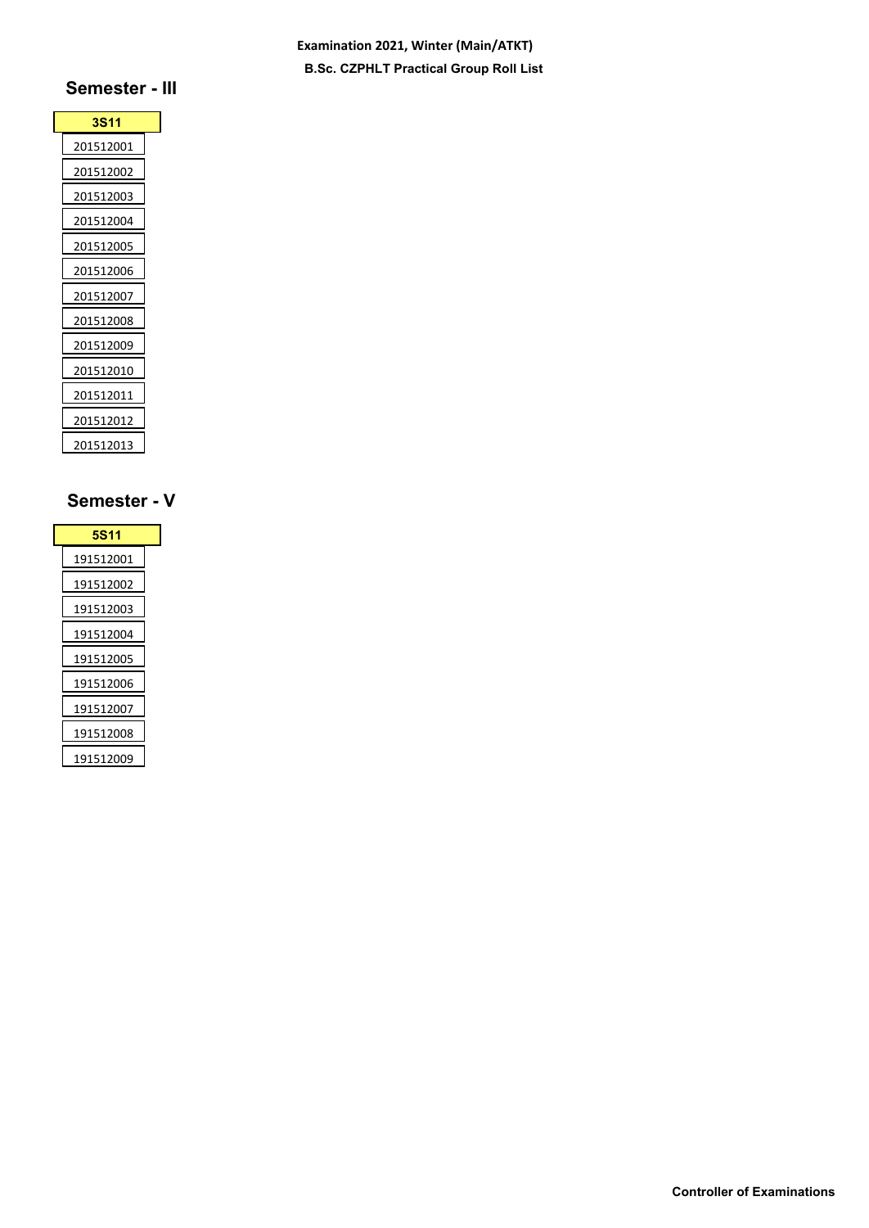### **Examination 2021, Winter (Main/ATKT) B.Sc. CZPHLT Practical Group Roll List**

# **Semester - III**

| <b>3S11</b>      |  |
|------------------|--|
| <u>201512001</u> |  |
| 201512002        |  |
| 201512003        |  |
| 201512004        |  |
| 201512005        |  |
| 201512006        |  |
| 201512007        |  |
| 201512008        |  |
| 201512009        |  |
| 201512010        |  |
| 201512011        |  |
| 201512012        |  |
| 201512013        |  |

| 5S11      |  |
|-----------|--|
| 191512001 |  |
| 191512002 |  |
| 191512003 |  |
| 191512004 |  |
| 191512005 |  |
| 191512006 |  |
| 191512007 |  |
| 191512008 |  |
| 191512009 |  |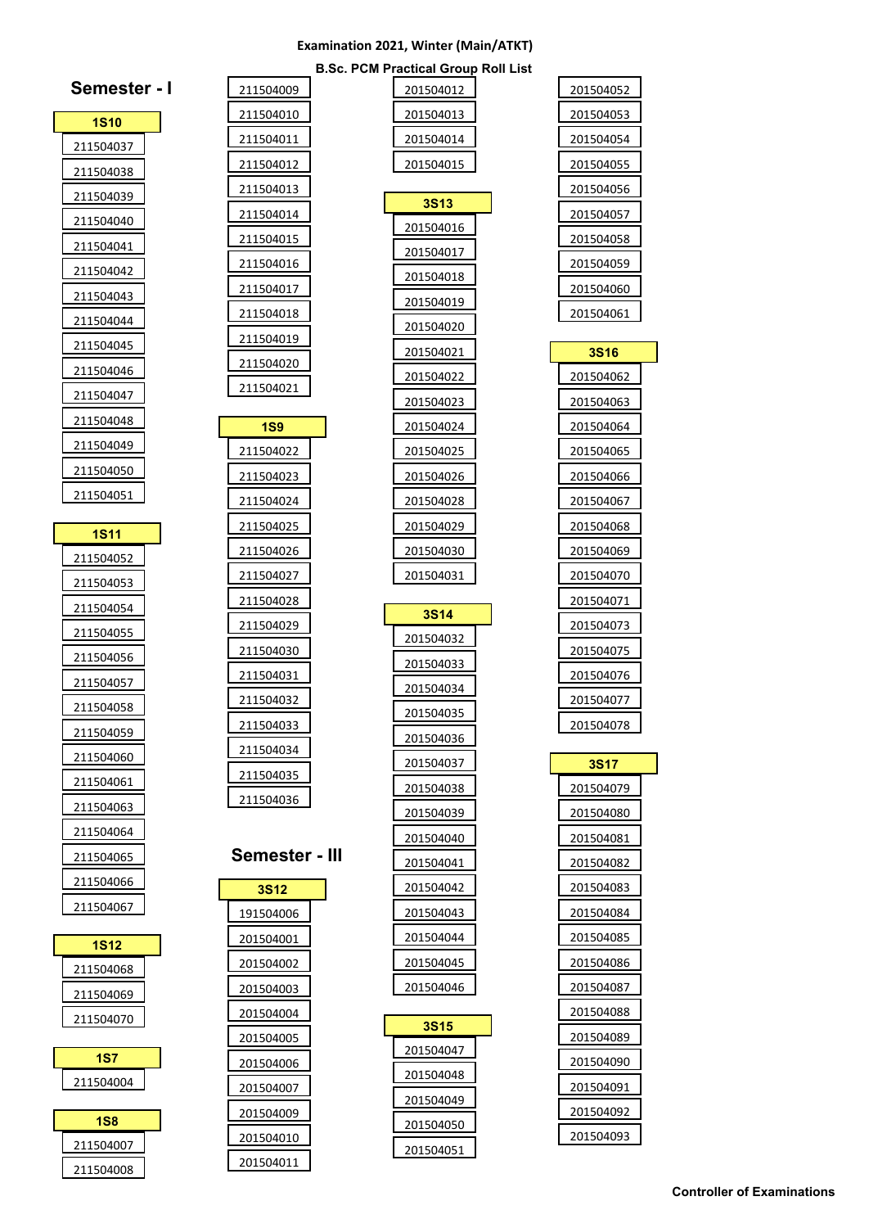| <b>B.Sc. PCM Practical Group Roll List</b> |
|--------------------------------------------|
|--------------------------------------------|

| Semester - I           | 211504009              | 201504012   |
|------------------------|------------------------|-------------|
| <b>1S10</b>            | 211504010              | 201504013   |
| 211504037              | 211504011              | 201504014   |
| 211504038              | 211504012              | 201504015   |
| 211504039              | 211504013              | <b>3S13</b> |
| 211504040              | 211504014              | 201504016   |
| 211504041              | 211504015              | 201504017   |
| 211504042              | 211504016              | 201504018   |
| 211504043              | 211504017              | 201504019   |
| 211504044              | 211504018              | 201504020   |
| 211504045              | 211504019              | 201504021   |
| 211504046              | 211504020              | 201504022   |
| 211504047              | 211504021              | 201504023   |
| 211504048              | <b>1S9</b>             | 201504024   |
| 211504049              | 211504022              | 201504025   |
| 211504050              | 211504023              | 201504026   |
| 211504051              | 211504024              | 201504028   |
| <b>1S11</b>            | 211504025              | 201504029   |
|                        | 211504026              | 201504030   |
| 211504052<br>211504053 | 211504027              | 201504031   |
| 211504054              | 211504028              |             |
|                        | 211504029              | <b>3S14</b> |
|                        |                        |             |
| 211504055              | 211504030              | 201504032   |
| 211504056              | 211504031              | 201504033   |
| 211504057              | 211504032              | 201504034   |
| 211504058              | 211504033              | 201504035   |
| 211504059              | 211504034              | 201504036   |
| 211504060              | 211504035              | 201504037   |
| 211504061              | 211504036              | 201504038   |
| 211504063              |                        | 201504039   |
| 211504064              |                        | 201504040   |
| 211504065              | Semester - III         | 201504041   |
| 211504066<br>211504067 | <b>3S12</b>            | 201504042   |
|                        | 191504006              | 201504043   |
| <b>1S12</b>            | 201504001              | 201504044   |
| 211504068              | 201504002              | 201504045   |
| 211504069              | 201504003              | 201504046   |
| 211504070              | 201504004              | <b>3S15</b> |
| <b>1S7</b>             | 201504005              | 201504047   |
| 211504004              | 201504006              | 201504048   |
|                        | 201504007              | 201504049   |
| <b>1S8</b>             | 201504009              | 201504050   |
| 211504007<br>211504008 | 201504010<br>201504011 | 201504051   |

| 201504052                     |  |
|-------------------------------|--|
| 201504053                     |  |
| 201504054                     |  |
| 201504055                     |  |
| 201504056                     |  |
| 201504057                     |  |
| 201504058                     |  |
| 201504059                     |  |
| 201504060                     |  |
| 201504061                     |  |
| <b>3S16</b>                   |  |
| 201504062                     |  |
| 201504063                     |  |
| 201504064                     |  |
| 201504065                     |  |
| <u>201504066</u>              |  |
| 201504067                     |  |
| 201504068                     |  |
| <u>201504069</u>              |  |
| <u>201504070</u>              |  |
| 201504071                     |  |
|                               |  |
| 201504073                     |  |
| 201504075                     |  |
| 201504076                     |  |
| 201504077                     |  |
| <u>201504078</u>              |  |
|                               |  |
| <b>3S17</b>                   |  |
| 201504079                     |  |
| <u>201504080</u><br>201504081 |  |
|                               |  |
| 201504082                     |  |
| <u>201504083</u><br>201504084 |  |
| 201504085                     |  |
| 201504086                     |  |
| 201504087                     |  |
| 201504088                     |  |
| <u>201504089</u>              |  |
| 201504090                     |  |
| 201504091                     |  |
| 201504092                     |  |
| 201504093                     |  |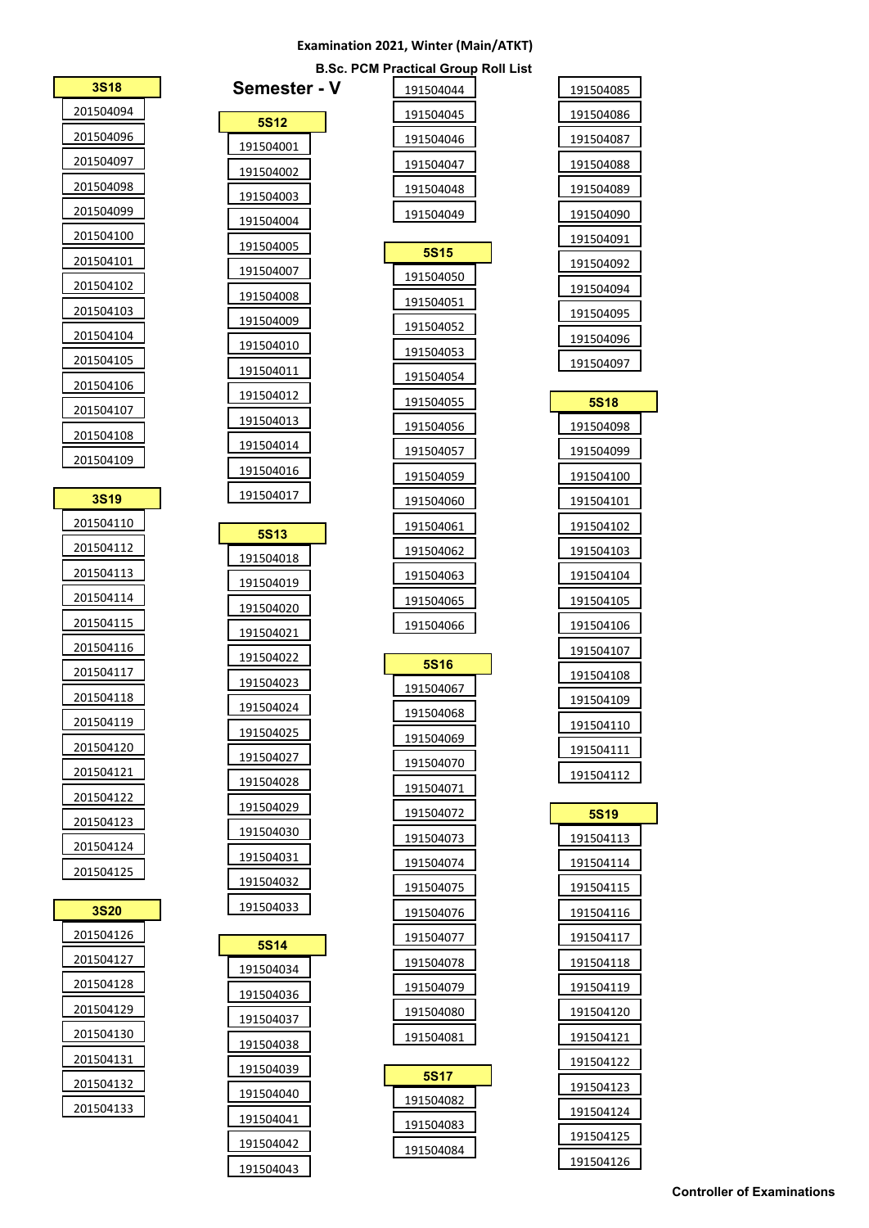|             |              | <b>B.Sc. PCM Practical Group Roll List</b> |                        |
|-------------|--------------|--------------------------------------------|------------------------|
| <b>3S18</b> | Semester - V | 191504044                                  | 191504085              |
| 201504094   | <b>5S12</b>  | 191504045                                  | 191504086              |
| 201504096   | 191504001    | 191504046                                  | 191504087              |
| 201504097   | 191504002    | 191504047                                  | 191504088              |
| 201504098   | 191504003    | 191504048                                  | 191504089              |
| 201504099   | 191504004    | 191504049                                  | 191504090              |
| 201504100   | 191504005    |                                            | 191504091              |
| 201504101   | 191504007    | <b>5S15</b><br>191504050                   | 191504092              |
| 201504102   | 191504008    |                                            | 191504094              |
| 201504103   | 191504009    | 191504051<br>191504052                     | 191504095              |
| 201504104   | 191504010    | 191504053                                  | 191504096              |
| 201504105   | 191504011    | 191504054                                  | 191504097              |
| 201504106   | 191504012    |                                            | <b>5S18</b>            |
| 201504107   | 191504013    | 191504055<br>191504056                     | 191504098              |
| 201504108   | 191504014    |                                            |                        |
| 201504109   | 191504016    | 191504057<br>191504059                     | 191504099              |
| <b>3S19</b> | 191504017    | 191504060                                  | 191504100<br>191504101 |
| 201504110   |              | 191504061                                  | 191504102              |
| 201504112   | <b>5S13</b>  | 191504062                                  | 191504103              |
| 201504113   | 191504018    | 191504063                                  |                        |
| 201504114   | 191504019    | 191504065                                  | 191504104              |
| 201504115   | 191504020    | 191504066                                  | 191504105              |
| 201504116   | 191504021    |                                            | 191504106<br>191504107 |
| 201504117   | 191504022    | <b>5S16</b>                                | 191504108              |
| 201504118   | 191504023    | 191504067                                  | 191504109              |
| 201504119   | 191504024    | 191504068                                  | 191504110              |
| 201504120   | 191504025    | 191504069                                  |                        |
| 201504121   | 191504027    | 191504070                                  | 191504111              |
| 201504122   | 191504028    | 191504071                                  | 191504112              |
| 201504123   | 191504029    | 191504072                                  | <b>5S19</b>            |
| 201504124   | 191504030    | 191504073                                  | 191504113              |
| 201504125   | 191504031    | 191504074                                  | 191504114              |
|             | 191504032    | 191504075                                  | 191504115              |
| <b>3S20</b> | 191504033    | 191504076                                  | 191504116              |
| 201504126   | <b>5S14</b>  | 191504077                                  | 191504117              |
| 201504127   | 191504034    | 191504078                                  | 191504118              |
| 201504128   | 191504036    | 191504079                                  | 191504119              |
| 201504129   | 191504037    | 191504080                                  | 191504120              |
| 201504130   | 191504038    | 191504081                                  | 191504121              |
| 201504131   | 191504039    |                                            | 191504122              |
| 201504132   | 191504040    | <b>5S17</b>                                | 191504123              |
| 201504133   | 191504041    | 191504082                                  | 191504124              |
|             | 191504042    | 191504083                                  | 191504125              |
|             | 101501012    | 191504084                                  | 191504126              |

**Controller of Examinations**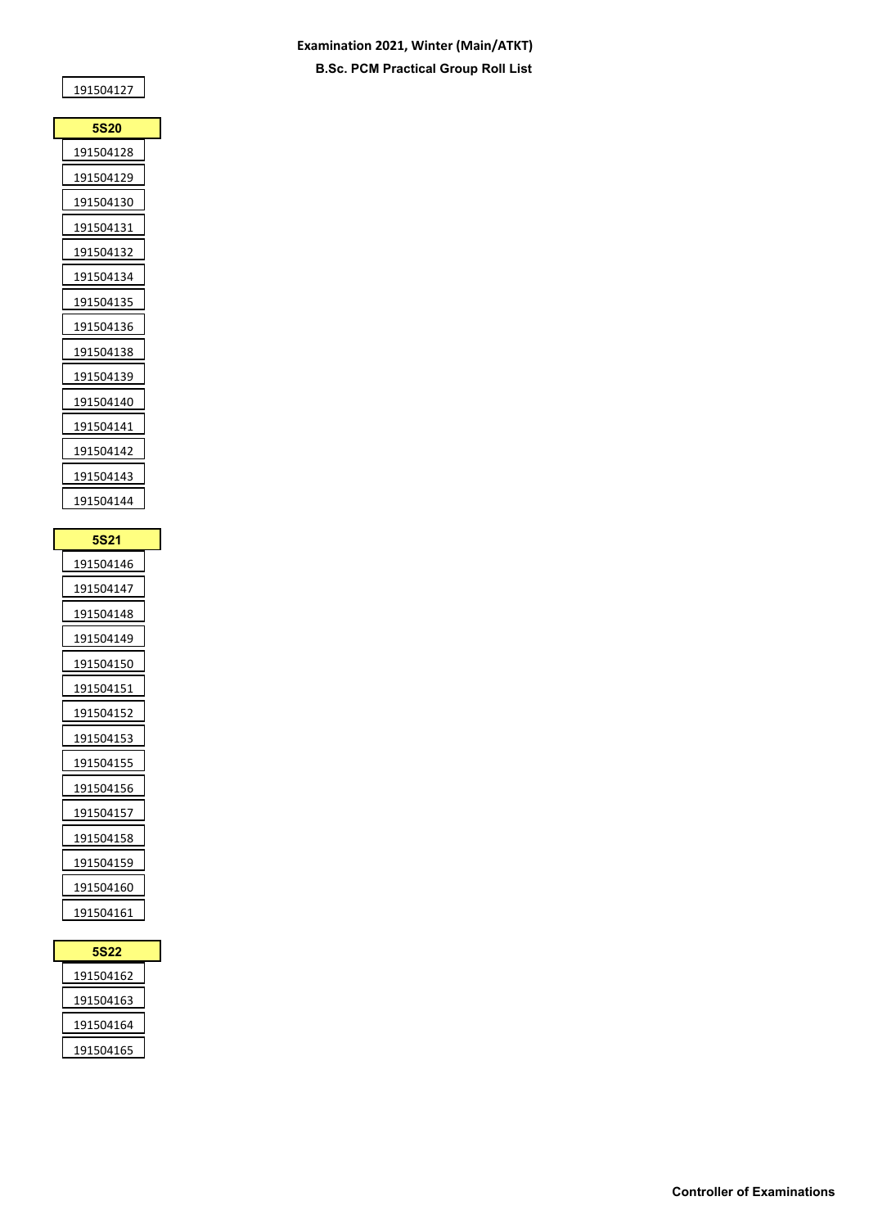### **Examination 2021, Winter (Main/ATKT) B.Sc. PCM Practical Group Roll List**

| <b>5S20</b> |  |
|-------------|--|
| 191504128   |  |
| 191504129   |  |
| 191504130   |  |
| 191504131   |  |
| 191504132   |  |
| 191504134   |  |
| 191504135   |  |
| 191504136   |  |
| 191504138   |  |
| 191504139   |  |
| 191504140   |  |
| 191504141   |  |
| 191504142   |  |
| 191504143   |  |
| 191504144   |  |

| <b>5S21</b> |  |
|-------------|--|
| 191504146   |  |
| 191504147   |  |
| 191504148   |  |
| 191504149   |  |
| 191504150   |  |
| 191504151   |  |
| 191504152   |  |
| 191504153   |  |
| 191504155   |  |
| 191504156   |  |
| 191504157   |  |
| 191504158   |  |
| 191504159   |  |
| 191504160   |  |
| 191504161   |  |

| 5S22      |  |
|-----------|--|
| 191504162 |  |
| 191504163 |  |
| 191504164 |  |
| 191504165 |  |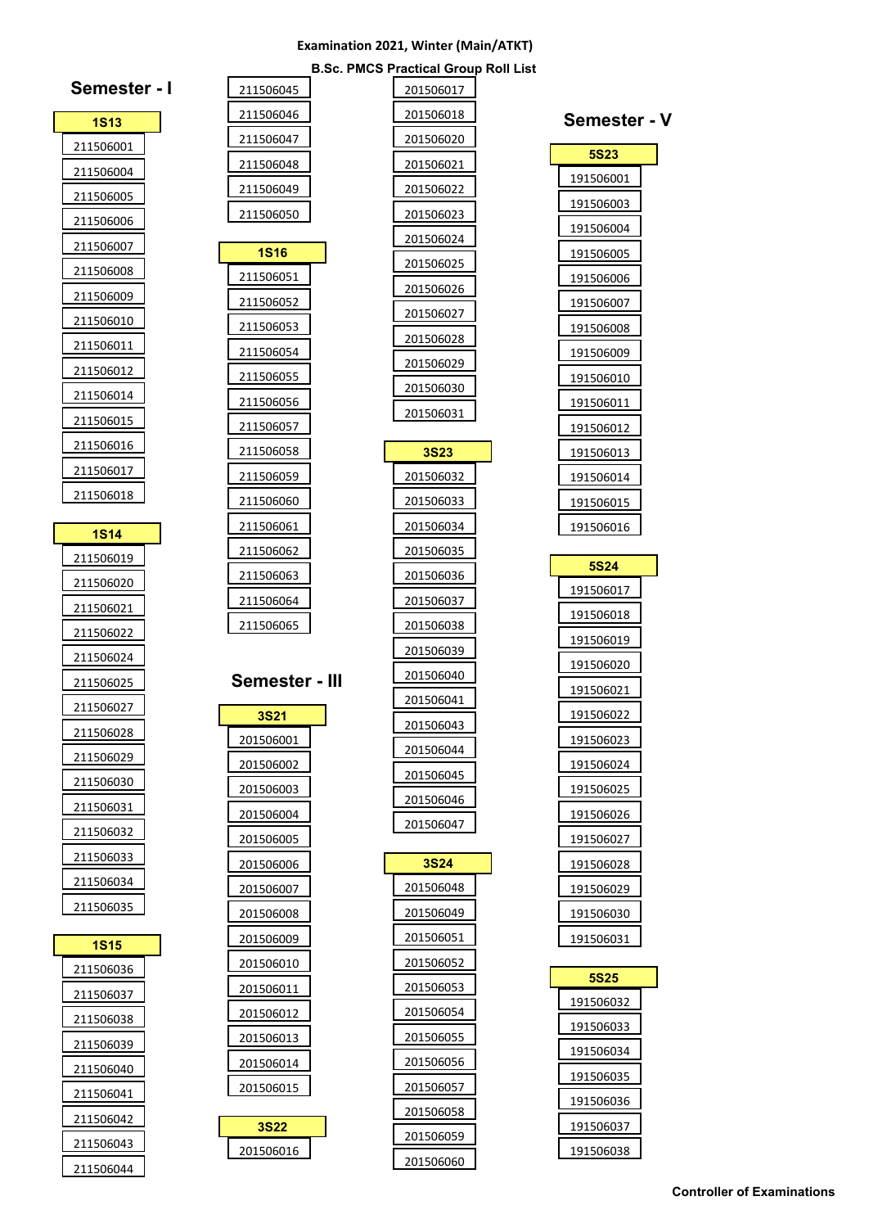**Semester - III**

**3S22**  **B.Sc. PMCS Practical Group Roll List**

| Semester -             |  |
|------------------------|--|
| <b>1S13</b>            |  |
| 211506001              |  |
| 211506004              |  |
| 211506005              |  |
| 211506006              |  |
| 211506007              |  |
| 211506008              |  |
| 211506009              |  |
| 211506010              |  |
| 211506011              |  |
| 211506012              |  |
| 211506014              |  |
| 211506015              |  |
| 211506016              |  |
| 211506017              |  |
| 211506018              |  |
|                        |  |
| 1S14                   |  |
| 211506019              |  |
| 211506020              |  |
| 211506021              |  |
| 211506022<br>211506024 |  |
| 211506025              |  |
| 211506027              |  |
|                        |  |
| 11506028               |  |
| 211506029<br>211506030 |  |
| 211506031              |  |
| 211506032              |  |
| 211506033              |  |
| 211506034              |  |
| 211506035              |  |
|                        |  |
| 1S15                   |  |
| 211506036              |  |
| 211506037              |  |
| 211506038              |  |
| 211506039              |  |
| 211506040              |  |
| 211506041              |  |
| 211506042              |  |
| 211506043              |  |
| 211506044              |  |

| 201506017        |  |
|------------------|--|
| 201506018        |  |
| 201506020        |  |
| 201506021        |  |
| 201506022        |  |
| 201506023        |  |
| 201506024        |  |
| 201506025        |  |
| 201506026        |  |
| 201506027        |  |
| 201506028        |  |
| 201506029        |  |
| 201506030        |  |
| 201506031        |  |
| 3S23             |  |
| 201506032        |  |
| 201506033        |  |
| 201506034        |  |
| 201506035        |  |
| 201506036        |  |
| 201506037        |  |
| 201506038        |  |
| 201506039        |  |
| <u>201506040</u> |  |
| 201506041        |  |
| 201506043        |  |
| 201506044        |  |
| 201506045        |  |
| 201506046        |  |
| 201506047        |  |
| <b>3S24</b>      |  |
| 201506048        |  |
| 201506049        |  |
| 201506051        |  |
| 201506052        |  |
| 201506053        |  |
| 201506054        |  |
| 201506055        |  |
| 201506056        |  |
| 201506057        |  |
| 201506058        |  |
| 201506059        |  |
| 201506060        |  |

| Semester          |  |
|-------------------|--|
| <b>5S23</b>       |  |
| 191506001         |  |
| 191506003         |  |
| 191506004         |  |
| 191506005         |  |
| 191506006         |  |
| 191506007         |  |
| 191506008         |  |
| 191506009         |  |
| 191506010         |  |
| 191506011         |  |
| <u> 191506012</u> |  |
| 191506013         |  |
| 191506014         |  |
| <u> 191506015</u> |  |
| 191506016         |  |
|                   |  |
| 5S24              |  |
| 191506017         |  |
| 191506018         |  |
| 191506019         |  |
| 191506020         |  |
| 191506021         |  |
| 191506022         |  |
| 191506023         |  |
| 191506024         |  |
| 191506025         |  |
| 191506026         |  |
| 191506027         |  |
| 191506028         |  |
| 191506029         |  |
| <u> 191506030</u> |  |
| 191506031         |  |
| 5S25              |  |
| 191506032         |  |
| 191506033         |  |
| 191506034         |  |
| 191506035         |  |
| 191506036         |  |
| 191506037         |  |

 $\mathbf{V}$ 

| <b>5S25</b> |  |
|-------------|--|
| 191506032   |  |
| 191506033   |  |
| 191506034   |  |
| 191506035   |  |
| 191506036   |  |
| 191506037   |  |
| 191506038   |  |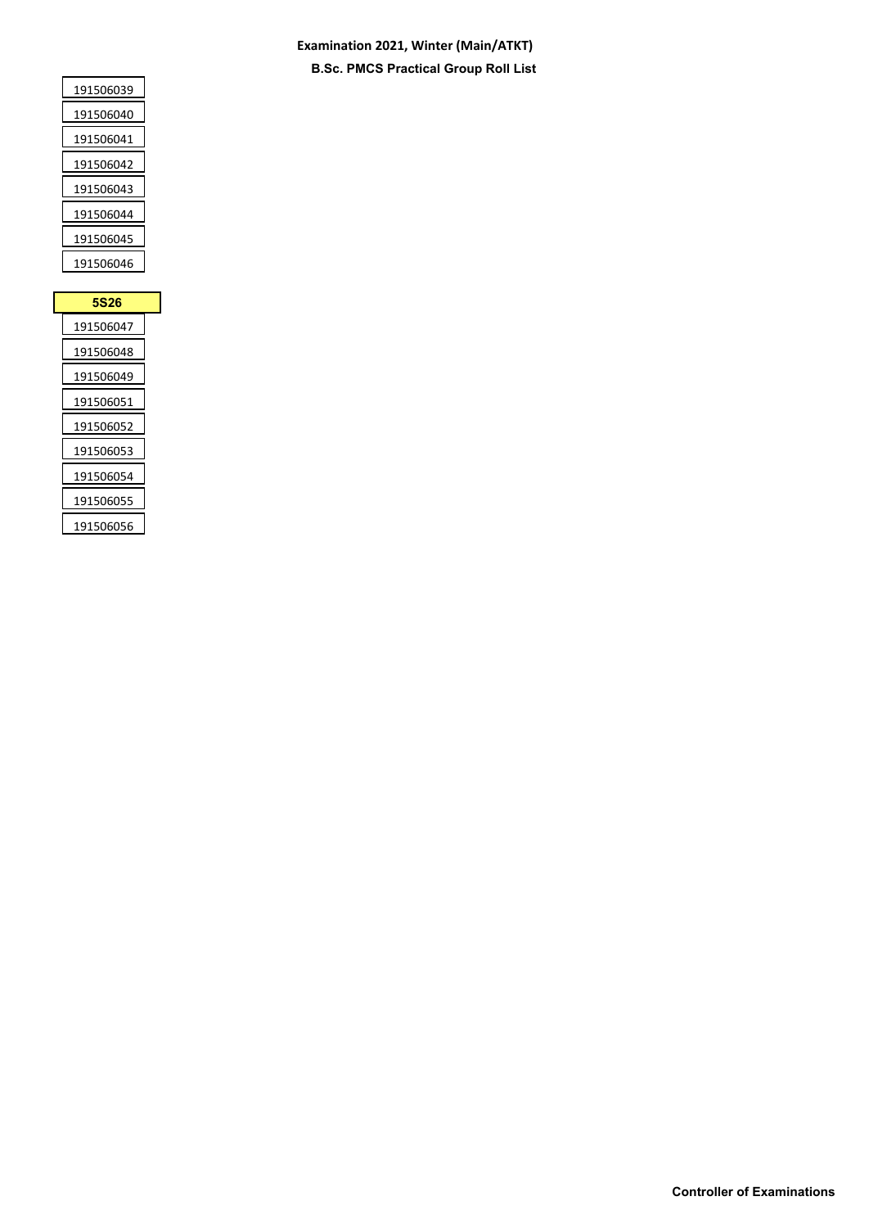### **Examination 2021, Winter (Main/ATKT) B.Sc. PMCS Practical Group Roll List**

| 191506039<br>191506040 |
|------------------------|
|                        |
|                        |
| 191506041              |
| 191506042              |
| 191506043              |
| 191506044              |
| 191506045              |
| 191506046              |

| 5S26      |
|-----------|
| 191506047 |
| 191506048 |
| 191506049 |
| 191506051 |
| 191506052 |
| 191506053 |
| 191506054 |
| 191506055 |
| 191506056 |